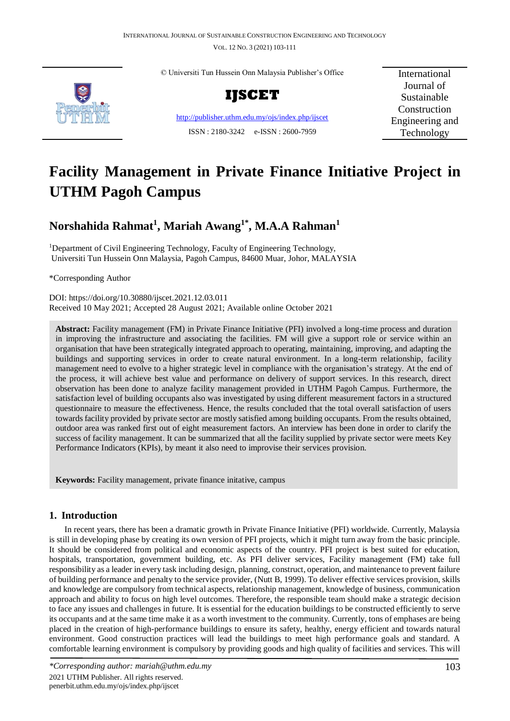VOL. 12 NO. 3 (2021) 103-111



© Universiti Tun Hussein Onn Malaysia Publisher's Office



<http://publisher.uthm.edu.my/ojs/index.php/ijscet> ISSN : 2180-3242 e-ISSN : 2600-7959

International Journal of Sustainable Construction Engineering and Technology

# **Facility Management in Private Finance Initiative Project in UTHM Pagoh Campus**

## **Norshahida Rahmat<sup>1</sup> , Mariah Awang1\* , M.A.A Rahman<sup>1</sup>**

<sup>1</sup>Department of Civil Engineering Technology, Faculty of Engineering Technology, Universiti Tun Hussein Onn Malaysia, Pagoh Campus, 84600 Muar, Johor, MALAYSIA

\*Corresponding Author

DOI: https://doi.org/10.30880/ijscet.2021.12.03.011 Received 10 May 2021; Accepted 28 August 2021; Available online October 2021

**Abstract:** Facility management (FM) in Private Finance Initiative (PFI) involved a long-time process and duration in improving the infrastructure and associating the facilities. FM will give a support role or service within an organisation that have been strategically integrated approach to operating, maintaining, improving, and adapting the buildings and supporting services in order to create natural environment. In a long-term relationship, facility management need to evolve to a higher strategic level in compliance with the organisation's strategy. At the end of the process, it will achieve best value and performance on delivery of support services. In this research, direct observation has been done to analyze facility management provided in UTHM Pagoh Campus. Furthermore, the satisfaction level of building occupants also was investigated by using different measurement factors in a structured questionnaire to measure the effectiveness. Hence, the results concluded that the total overall satisfaction of users towards facility provided by private sector are mostly satisfied among building occupants. From the results obtained, outdoor area was ranked first out of eight measurement factors. An interview has been done in order to clarify the success of facility management. It can be summarized that all the facility supplied by private sector were meets Key Performance Indicators (KPIs), by meant it also need to improvise their services provision.

**Keywords:** Facility management, private finance initative, campus

## **1. Introduction**

In recent years, there has been a dramatic growth in Private Finance Initiative (PFI) worldwide. Currently, Malaysia is still in developing phase by creating its own version of PFI projects, which it might turn away from the basic principle. It should be considered from political and economic aspects of the country. PFI project is best suited for education, hospitals, transportation, government building, etc. As PFI deliver services, Facility management (FM) take full responsibility as a leader in every task including design, planning, construct, operation, and maintenance to prevent failure of building performance and penalty to the service provider, (Nutt B, 1999). To deliver effective services provision, skills and knowledge are compulsory from technical aspects, relationship management, knowledge of business, communication approach and ability to focus on high level outcomes. Therefore, the responsible team should make a strategic decision to face any issues and challenges in future. It is essential for the education buildings to be constructed efficiently to serve its occupants and at the same time make it as a worth investment to the community. Currently, tons of emphases are being placed in the creation of high-performance buildings to ensure its safety, healthy, energy efficient and towards natural environment. Good construction practices will lead the buildings to meet high performance goals and standard. A comfortable learning environment is compulsory by providing goods and high quality of facilities and services. This will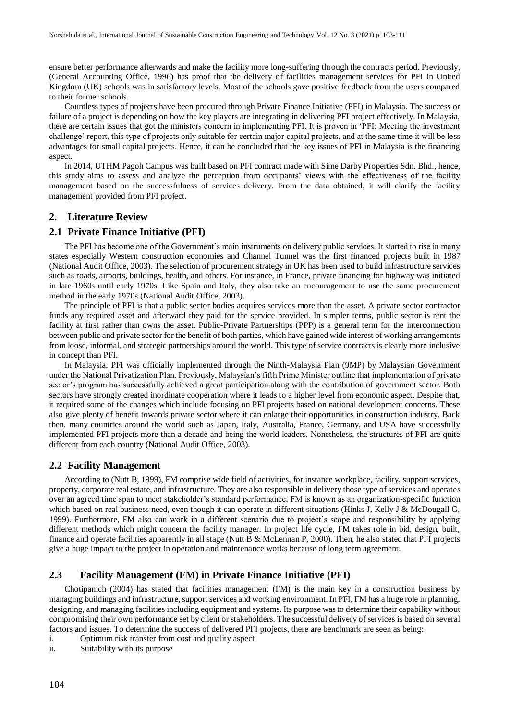ensure better performance afterwards and make the facility more long-suffering through the contracts period. Previously, (General Accounting Office, 1996) has proof that the delivery of facilities management services for PFI in United Kingdom (UK) schools was in satisfactory levels. Most of the schools gave positive feedback from the users compared to their former schools.

Countless types of projects have been procured through Private Finance Initiative (PFI) in Malaysia. The success or failure of a project is depending on how the key players are integrating in delivering PFI project effectively. In Malaysia, there are certain issues that got the ministers concern in implementing PFI. It is proven in 'PFI: Meeting the investment challenge' report, this type of projects only suitable for certain major capital projects, and at the same time it will be less advantages for small capital projects. Hence, it can be concluded that the key issues of PFI in Malaysia is the financing aspect.

In 2014, UTHM Pagoh Campus was built based on PFI contract made with Sime Darby Properties Sdn. Bhd., hence, this study aims to assess and analyze the perception from occupants' views with the effectiveness of the facility management based on the successfulness of services delivery. From the data obtained, it will clarify the facility management provided from PFI project.

#### **2. Literature Review**

#### **2.1 Private Finance Initiative (PFI)**

The PFI has become one of the Government's main instruments on delivery public services. It started to rise in many states especially Western construction economies and Channel Tunnel was the first financed projects built in 1987 (National Audit Office, 2003). The selection of procurement strategy in UK has been used to build infrastructure services such as roads, airports, buildings, health, and others. For instance, in France, private financing for highway was initiated in late 1960s until early 1970s. Like Spain and Italy, they also take an encouragement to use the same procurement method in the early 1970s (National Audit Office, 2003).

The principle of PFI is that a public sector bodies acquires services more than the asset. A private sector contractor funds any required asset and afterward they paid for the service provided. In simpler terms, public sector is rent the facility at first rather than owns the asset. Public-Private Partnerships (PPP) is a general term for the interconnection between public and private sector for the benefit of both parties, which have gained wide interest of working arrangements from loose, informal, and strategic partnerships around the world. This type of service contracts is clearly more inclusive in concept than PFI.

In Malaysia, PFI was officially implemented through the Ninth-Malaysia Plan (9MP) by Malaysian Government under the National Privatization Plan. Previously, Malaysian's fifth Prime Minister outline that implementation of private sector's program has successfully achieved a great participation along with the contribution of government sector. Both sectors have strongly created inordinate cooperation where it leads to a higher level from economic aspect. Despite that, it required some of the changes which include focusing on PFI projects based on national development concerns. These also give plenty of benefit towards private sector where it can enlarge their opportunities in construction industry. Back then, many countries around the world such as Japan, Italy, Australia, France, Germany, and USA have successfully implemented PFI projects more than a decade and being the world leaders. Nonetheless, the structures of PFI are quite different from each country (National Audit Office, 2003).

#### **2.2 Facility Management**

According to (Nutt B, 1999), FM comprise wide field of activities, for instance workplace, facility, support services, property, corporate real estate, and infrastructure. They are also responsible in delivery those type of services and operates over an agreed time span to meet stakeholder's standard performance. FM is known as an organization-specific function which based on real business need, even though it can operate in different situations (Hinks J, Kelly J & McDougall G, 1999). Furthermore, FM also can work in a different scenario due to project's scope and responsibility by applying different methods which might concern the facility manager. In project life cycle, FM takes role in bid, design, built, finance and operate facilities apparently in all stage (Nutt B & McLennan P, 2000). Then, he also stated that PFI projects give a huge impact to the project in operation and maintenance works because of long term agreement.

#### **2.3 Facility Management (FM) in Private Finance Initiative (PFI)**

Chotipanich (2004) has stated that facilities management (FM) is the main key in a construction business by managing buildings and infrastructure, support services and working environment. In PFI, FM has a huge role in planning, designing, and managing facilities including equipment and systems. Its purpose was to determine their capability without compromising their own performance set by client or stakeholders. The successful delivery of services is based on several factors and issues. To determine the success of delivered PFI projects, there are benchmark are seen as being:

- i. Optimum risk transfer from cost and quality aspect
- ii. Suitability with its purpose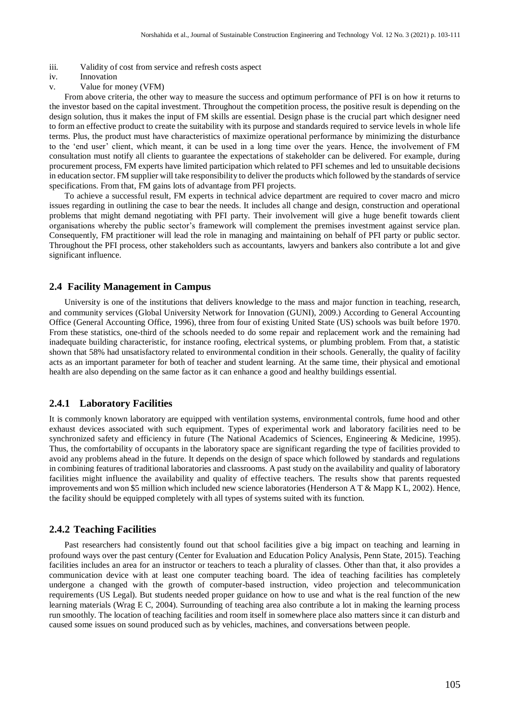- iii. Validity of cost from service and refresh costs aspect
- iv. Innovation
- v. Value for money (VFM)

From above criteria, the other way to measure the success and optimum performance of PFI is on how it returns to the investor based on the capital investment. Throughout the competition process, the positive result is depending on the design solution, thus it makes the input of FM skills are essential. Design phase is the crucial part which designer need to form an effective product to create the suitability with its purpose and standards required to service levels in whole life terms. Plus, the product must have characteristics of maximize operational performance by minimizing the disturbance to the 'end user' client, which meant, it can be used in a long time over the years. Hence, the involvement of FM consultation must notify all clients to guarantee the expectations of stakeholder can be delivered. For example, during procurement process, FM experts have limited participation which related to PFI schemes and led to unsuitable decisions in education sector. FM supplier will take responsibility to deliver the products which followed by the standards of service specifications. From that, FM gains lots of advantage from PFI projects.

To achieve a successful result, FM experts in technical advice department are required to cover macro and micro issues regarding in outlining the case to bear the needs. It includes all change and design, construction and operational problems that might demand negotiating with PFI party. Their involvement will give a huge benefit towards client organisations whereby the public sector's framework will complement the premises investment against service plan. Consequently, FM practitioner will lead the role in managing and maintaining on behalf of PFI party or public sector. Throughout the PFI process, other stakeholders such as accountants, lawyers and bankers also contribute a lot and give significant influence.

#### **2.4 Facility Management in Campus**

University is one of the institutions that delivers knowledge to the mass and major function in teaching, research, and community services (Global University Network for Innovation (GUNI), 2009.) According to General Accounting Office (General Accounting Office, 1996), three from four of existing United State (US) schools was built before 1970. From these statistics, one-third of the schools needed to do some repair and replacement work and the remaining had inadequate building characteristic, for instance roofing, electrical systems, or plumbing problem. From that, a statistic shown that 58% had unsatisfactory related to environmental condition in their schools. Generally, the quality of facility acts as an important parameter for both of teacher and student learning. At the same time, their physical and emotional health are also depending on the same factor as it can enhance a good and healthy buildings essential.

#### **2.4.1 Laboratory Facilities**

It is commonly known laboratory are equipped with ventilation systems, environmental controls, fume hood and other exhaust devices associated with such equipment. Types of experimental work and laboratory facilities need to be synchronized safety and efficiency in future (The National Academics of Sciences, Engineering & Medicine, 1995). Thus, the comfortability of occupants in the laboratory space are significant regarding the type of facilities provided to avoid any problems ahead in the future. It depends on the design of space which followed by standards and regulations in combining features of traditional laboratories and classrooms. A past study on the availability and quality of laboratory facilities might influence the availability and quality of effective teachers. The results show that parents requested improvements and won \$5 million which included new science laboratories (Henderson A T & Mapp K L, 2002). Hence, the facility should be equipped completely with all types of systems suited with its function.

#### **2.4.2 Teaching Facilities**

Past researchers had consistently found out that school facilities give a big impact on teaching and learning in profound ways over the past century (Center for Evaluation and Education Policy Analysis, Penn State, 2015). Teaching facilities includes an area for an instructor or teachers to teach a plurality of classes. Other than that, it also provides a communication device with at least one computer teaching board. The idea of teaching facilities has completely undergone a changed with the growth of computer-based instruction, video projection and telecommunication requirements (US Legal). But students needed proper guidance on how to use and what is the real function of the new learning materials (Wrag E C, 2004). Surrounding of teaching area also contribute a lot in making the learning process run smoothly. The location of teaching facilities and room itself in somewhere place also matters since it can disturb and caused some issues on sound produced such as by vehicles, machines, and conversations between people.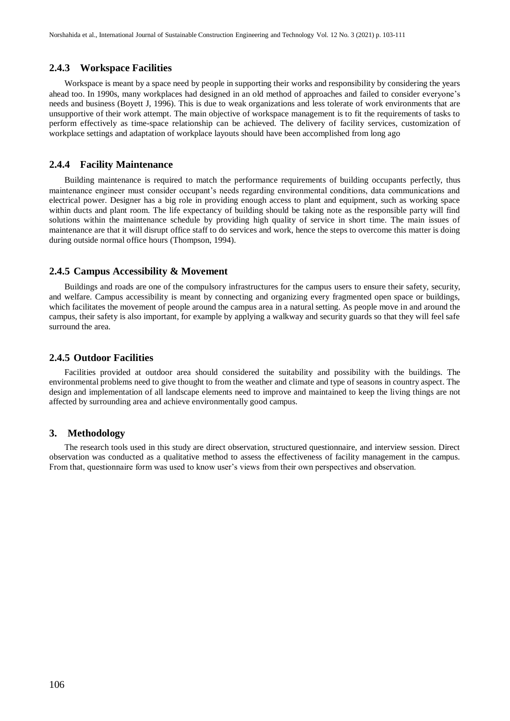#### **2.4.3 Workspace Facilities**

Workspace is meant by a space need by people in supporting their works and responsibility by considering the years ahead too. In 1990s, many workplaces had designed in an old method of approaches and failed to consider everyone's needs and business (Boyett J, 1996). This is due to weak organizations and less tolerate of work environments that are unsupportive of their work attempt. The main objective of workspace management is to fit the requirements of tasks to perform effectively as time-space relationship can be achieved. The delivery of facility services, customization of workplace settings and adaptation of workplace layouts should have been accomplished from long ago

#### **2.4.4 Facility Maintenance**

Building maintenance is required to match the performance requirements of building occupants perfectly, thus maintenance engineer must consider occupant's needs regarding environmental conditions, data communications and electrical power. Designer has a big role in providing enough access to plant and equipment, such as working space within ducts and plant room. The life expectancy of building should be taking note as the responsible party will find solutions within the maintenance schedule by providing high quality of service in short time. The main issues of maintenance are that it will disrupt office staff to do services and work, hence the steps to overcome this matter is doing during outside normal office hours (Thompson, 1994).

#### **2.4.5 Campus Accessibility & Movement**

Buildings and roads are one of the compulsory infrastructures for the campus users to ensure their safety, security, and welfare. Campus accessibility is meant by connecting and organizing every fragmented open space or buildings, which facilitates the movement of people around the campus area in a natural setting. As people move in and around the campus, their safety is also important, for example by applying a walkway and security guards so that they will feel safe surround the area.

#### **2.4.5 Outdoor Facilities**

Facilities provided at outdoor area should considered the suitability and possibility with the buildings. The environmental problems need to give thought to from the weather and climate and type of seasons in country aspect. The design and implementation of all landscape elements need to improve and maintained to keep the living things are not affected by surrounding area and achieve environmentally good campus.

#### **3. Methodology**

The research tools used in this study are direct observation, structured questionnaire, and interview session. Direct observation was conducted as a qualitative method to assess the effectiveness of facility management in the campus. From that, questionnaire form was used to know user's views from their own perspectives and observation.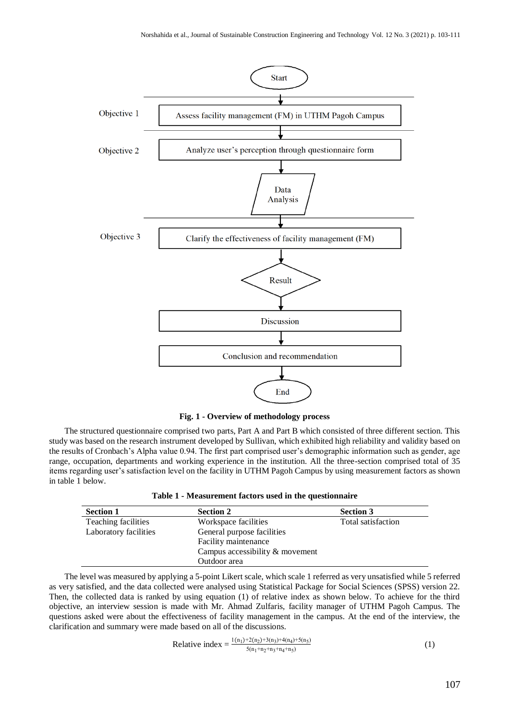

**Fig. 1 - Overview of methodology process**

The structured questionnaire comprised two parts, Part A and Part B which consisted of three different section. This study was based on the research instrument developed by Sullivan, which exhibited high reliability and validity based on the results of Cronbach's Alpha value 0.94. The first part comprised user's demographic information such as gender, age range, occupation, departments and working experience in the institution. All the three-section comprised total of 35 items regarding user's satisfaction level on the facility in UTHM Pagoh Campus by using measurement factors as shown in table 1 below.

|  | Table 1 - Measurement factors used in the questionnaire |  |  |  |
|--|---------------------------------------------------------|--|--|--|
|--|---------------------------------------------------------|--|--|--|

| <b>Section 1</b>      | <b>Section 2</b>                | <b>Section 3</b>   |
|-----------------------|---------------------------------|--------------------|
| Teaching facilities   | Workspace facilities            | Total satisfaction |
| Laboratory facilities | General purpose facilities      |                    |
|                       | Facility maintenance            |                    |
|                       | Campus accessibility & movement |                    |
|                       | Outdoor area                    |                    |

The level was measured by applying a 5-point Likert scale, which scale 1 referred as very unsatisfied while 5 referred as very satisfied, and the data collected were analysed using Statistical Package for Social Sciences (SPSS) version 22. Then, the collected data is ranked by using equation (1) of relative index as shown below. To achieve for the third objective, an interview session is made with Mr. Ahmad Zulfaris, facility manager of UTHM Pagoh Campus. The questions asked were about the effectiveness of facility management in the campus. At the end of the interview, the clarification and summary were made based on all of the discussions.

Relative index 
$$
= \frac{1(n_1)+2(n_2)+3(n_3)+4(n_4)+5(n_5)}{5(n_1+n_2+n_3+n_4+n_5)}
$$
 (1)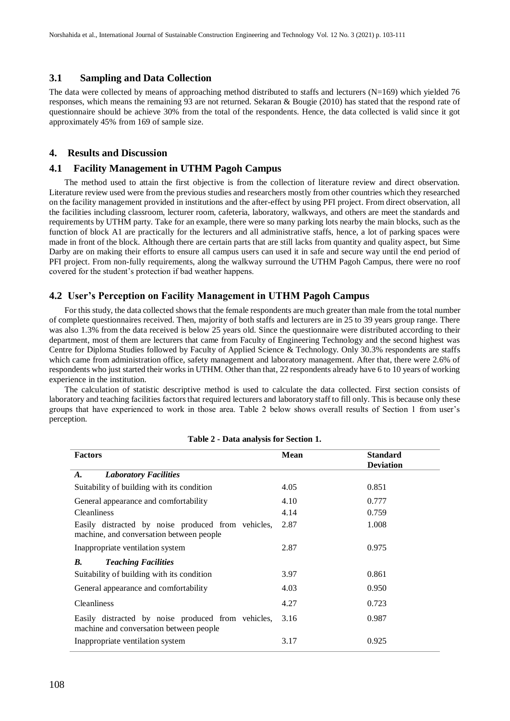#### **3.1 Sampling and Data Collection**

The data were collected by means of approaching method distributed to staffs and lecturers  $(N=169)$  which yielded 76 responses, which means the remaining 93 are not returned. Sekaran & Bougie (2010) has stated that the respond rate of questionnaire should be achieve 30% from the total of the respondents. Hence, the data collected is valid since it got approximately 45% from 169 of sample size.

#### **4. Results and Discussion**

#### **4.1 Facility Management in UTHM Pagoh Campus**

The method used to attain the first objective is from the collection of literature review and direct observation. Literature review used were from the previous studies and researchers mostly from other countries which they researched on the facility management provided in institutions and the after-effect by using PFI project. From direct observation, all the facilities including classroom, lecturer room, cafeteria, laboratory, walkways, and others are meet the standards and requirements by UTHM party. Take for an example, there were so many parking lots nearby the main blocks, such as the function of block A1 are practically for the lecturers and all administrative staffs, hence, a lot of parking spaces were made in front of the block. Although there are certain parts that are still lacks from quantity and quality aspect, but Sime Darby are on making their efforts to ensure all campus users can used it in safe and secure way until the end period of PFI project. From non-fully requirements, along the walkway surround the UTHM Pagoh Campus, there were no roof covered for the student's protection if bad weather happens.

#### **4.2 User's Perception on Facility Management in UTHM Pagoh Campus**

For this study, the data collected shows that the female respondents are much greater than male from the total number of complete questionnaires received. Then, majority of both staffs and lecturers are in 25 to 39 years group range. There was also 1.3% from the data received is below 25 years old. Since the questionnaire were distributed according to their department, most of them are lecturers that came from Faculty of Engineering Technology and the second highest was Centre for Diploma Studies followed by Faculty of Applied Science & Technology. Only 30.3% respondents are staffs which came from administration office, safety management and laboratory management. After that, there were 2.6% of respondents who just started their works in UTHM. Other than that, 22 respondents already have 6 to 10 years of working experience in the institution.

The calculation of statistic descriptive method is used to calculate the data collected. First section consists of laboratory and teaching facilities factors that required lecturers and laboratory staff to fill only. This is because only these groups that have experienced to work in those area. Table 2 below shows overall results of Section 1 from user's perception.

| <b>Factors</b>                                                                                 | <b>Mean</b> | <b>Standard</b><br><b>Deviation</b> |
|------------------------------------------------------------------------------------------------|-------------|-------------------------------------|
| <b>Laboratory Facilities</b><br>A.                                                             |             |                                     |
| Suitability of building with its condition                                                     | 4.05        | 0.851                               |
| General appearance and comfortability                                                          | 4.10        | 0.777                               |
| <b>Cleanliness</b>                                                                             | 4.14        | 0.759                               |
| Easily distracted by noise produced from vehicles,<br>machine, and conversation between people | 2.87        | 1.008                               |
| Inappropriate ventilation system                                                               | 2.87        | 0.975                               |
| <b>Teaching Facilities</b><br><b>B.</b>                                                        |             |                                     |
| Suitability of building with its condition                                                     | 3.97        | 0.861                               |
| General appearance and comfortability                                                          | 4.03        | 0.950                               |
| <b>Cleanliness</b>                                                                             | 4.27        | 0.723                               |
| Easily distracted by noise produced from vehicles,<br>machine and conversation between people  | 3.16        | 0.987                               |
| Inappropriate ventilation system                                                               | 3.17        | 0.925                               |

#### **Table 2 - Data analysis for Section 1.**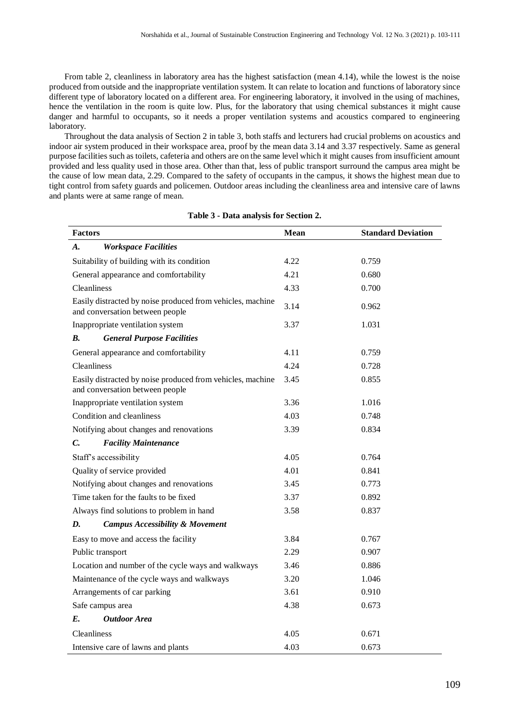From table 2, cleanliness in laboratory area has the highest satisfaction (mean 4.14), while the lowest is the noise produced from outside and the inappropriate ventilation system. It can relate to location and functions of laboratory since different type of laboratory located on a different area. For engineering laboratory, it involved in the using of machines, hence the ventilation in the room is quite low. Plus, for the laboratory that using chemical substances it might cause danger and harmful to occupants, so it needs a proper ventilation systems and acoustics compared to engineering laboratory.

Throughout the data analysis of Section 2 in table 3, both staffs and lecturers had crucial problems on acoustics and indoor air system produced in their workspace area, proof by the mean data 3.14 and 3.37 respectively. Same as general purpose facilities such as toilets, cafeteria and others are on the same level which it might causes from insufficient amount provided and less quality used in those area. Other than that, less of public transport surround the campus area might be the cause of low mean data, 2.29. Compared to the safety of occupants in the campus, it shows the highest mean due to tight control from safety guards and policemen. Outdoor areas including the cleanliness area and intensive care of lawns and plants were at same range of mean.

| <b>Factors</b>                                                                                | Mean | <b>Standard Deviation</b> |
|-----------------------------------------------------------------------------------------------|------|---------------------------|
| <b>Workspace Facilities</b><br>A.                                                             |      |                           |
| Suitability of building with its condition                                                    | 4.22 | 0.759                     |
| General appearance and comfortability                                                         | 4.21 | 0.680                     |
| Cleanliness                                                                                   | 4.33 | 0.700                     |
| Easily distracted by noise produced from vehicles, machine<br>and conversation between people | 3.14 | 0.962                     |
| Inappropriate ventilation system                                                              | 3.37 | 1.031                     |
| <b>General Purpose Facilities</b><br>В.                                                       |      |                           |
| General appearance and comfortability                                                         | 4.11 | 0.759                     |
| <b>Cleanliness</b>                                                                            | 4.24 | 0.728                     |
| Easily distracted by noise produced from vehicles, machine<br>and conversation between people | 3.45 | 0.855                     |
| Inappropriate ventilation system                                                              | 3.36 | 1.016                     |
| Condition and cleanliness                                                                     | 4.03 | 0.748                     |
| Notifying about changes and renovations                                                       | 3.39 | 0.834                     |
| <b>Facility Maintenance</b><br>C.                                                             |      |                           |
| Staff's accessibility                                                                         | 4.05 | 0.764                     |
| Quality of service provided                                                                   | 4.01 | 0.841                     |
| Notifying about changes and renovations                                                       | 3.45 | 0.773                     |
| Time taken for the faults to be fixed                                                         | 3.37 | 0.892                     |
| Always find solutions to problem in hand                                                      | 3.58 | 0.837                     |
| <b>Campus Accessibility &amp; Movement</b><br>D.                                              |      |                           |
| Easy to move and access the facility                                                          | 3.84 | 0.767                     |
| Public transport                                                                              | 2.29 | 0.907                     |
| Location and number of the cycle ways and walkways                                            | 3.46 | 0.886                     |
| Maintenance of the cycle ways and walkways                                                    | 3.20 | 1.046                     |
| Arrangements of car parking                                                                   | 3.61 | 0.910                     |
| Safe campus area                                                                              | 4.38 | 0.673                     |
| <b>Outdoor Area</b><br>E.                                                                     |      |                           |
| <b>Cleanliness</b>                                                                            | 4.05 | 0.671                     |
| Intensive care of lawns and plants                                                            | 4.03 | 0.673                     |

#### **Table 3 - Data analysis for Section 2.**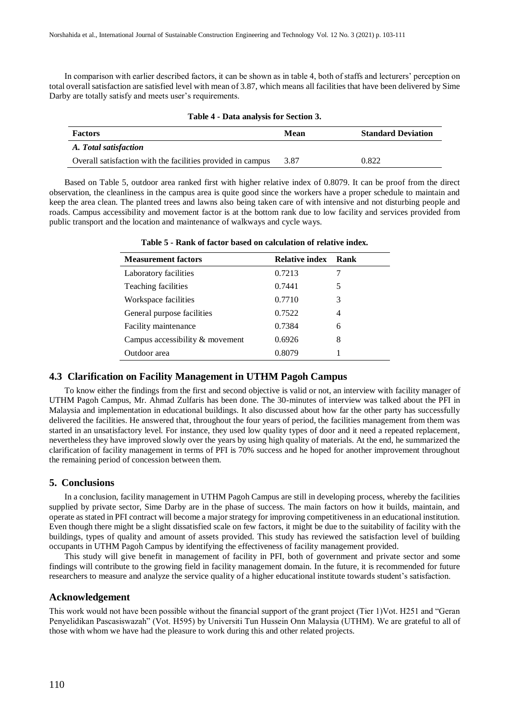In comparison with earlier described factors, it can be shown as in table 4, both of staffs and lecturers' perception on total overall satisfaction are satisfied level with mean of 3.87, which means all facilities that have been delivered by Sime Darby are totally satisfy and meets user's requirements.

| Table 4 - Data analysis for Section 3. |  |  |  |
|----------------------------------------|--|--|--|
|----------------------------------------|--|--|--|

| <b>Factors</b>                                              | Mean | <b>Standard Deviation</b> |
|-------------------------------------------------------------|------|---------------------------|
| A. Total satisfaction                                       |      |                           |
| Overall satisfaction with the facilities provided in campus | 3.87 | 0.822                     |

Based on Table 5, outdoor area ranked first with higher relative index of 0.8079. It can be proof from the direct observation, the cleanliness in the campus area is quite good since the workers have a proper schedule to maintain and keep the area clean. The planted trees and lawns also being taken care of with intensive and not disturbing people and roads. Campus accessibility and movement factor is at the bottom rank due to low facility and services provided from public transport and the location and maintenance of walkways and cycle ways.

| <b>Measurement factors</b>        | <b>Relative index Rank</b> |   |
|-----------------------------------|----------------------------|---|
| Laboratory facilities             | 0.7213                     |   |
| Teaching facilities               | 0.7441                     | 5 |
| Workspace facilities              | 0.7710                     | 3 |
| General purpose facilities        | 0.7522                     | 4 |
| Facility maintenance              | 0.7384                     | 6 |
| Campus accessibility $&$ movement | 0.6926                     | 8 |
| Outdoor area                      | 0.8079                     |   |

**Table 5 - Rank of factor based on calculation of relative index.**

### **4.3 Clarification on Facility Management in UTHM Pagoh Campus**

To know either the findings from the first and second objective is valid or not, an interview with facility manager of UTHM Pagoh Campus, Mr. Ahmad Zulfaris has been done. The 30-minutes of interview was talked about the PFI in Malaysia and implementation in educational buildings. It also discussed about how far the other party has successfully delivered the facilities. He answered that, throughout the four years of period, the facilities management from them was started in an unsatisfactory level. For instance, they used low quality types of door and it need a repeated replacement, nevertheless they have improved slowly over the years by using high quality of materials. At the end, he summarized the clarification of facility management in terms of PFI is 70% success and he hoped for another improvement throughout the remaining period of concession between them.

#### **5. Conclusions**

In a conclusion, facility management in UTHM Pagoh Campus are still in developing process, whereby the facilities supplied by private sector, Sime Darby are in the phase of success. The main factors on how it builds, maintain, and operate as stated in PFI contract will become a major strategy for improving competitiveness in an educational institution. Even though there might be a slight dissatisfied scale on few factors, it might be due to the suitability of facility with the buildings, types of quality and amount of assets provided. This study has reviewed the satisfaction level of building occupants in UTHM Pagoh Campus by identifying the effectiveness of facility management provided.

This study will give benefit in management of facility in PFI, both of government and private sector and some findings will contribute to the growing field in facility management domain. In the future, it is recommended for future researchers to measure and analyze the service quality of a higher educational institute towards student's satisfaction.

#### **Acknowledgement**

This work would not have been possible without the financial support of the grant project (Tier 1)Vot. H251 and "Geran Penyelidikan Pascasiswazah" (Vot. H595) by Universiti Tun Hussein Onn Malaysia (UTHM). We are grateful to all of those with whom we have had the pleasure to work during this and other related projects.